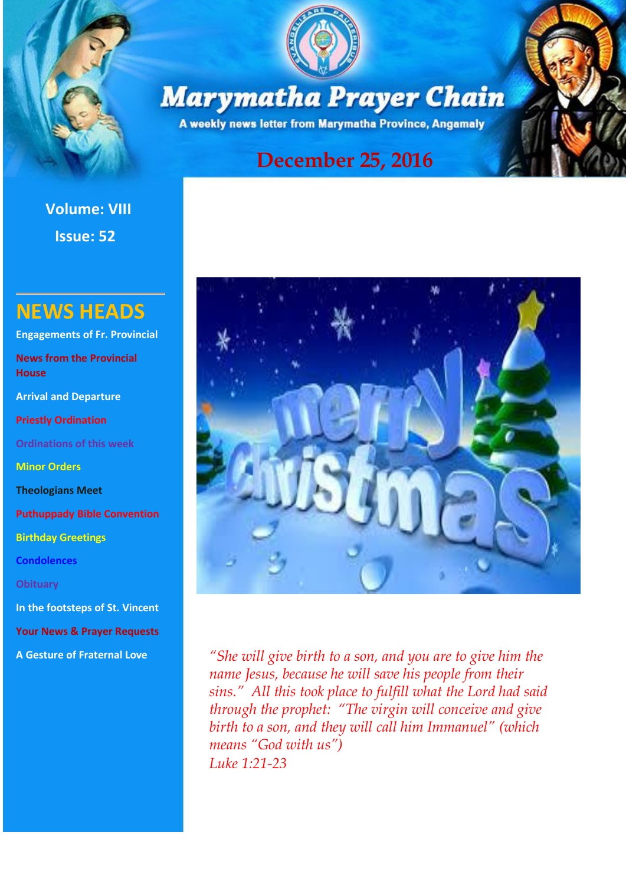

# **Marymatha Prayer Chain**

A weekly news letter from Marymatha Province, Angamaly

## **December 25, 2016**

**Volume: VIII Issue: 52**

## **NEWS HEADS**

**Engagements of Fr. Provincial**

**News from the Provincial House**

**Arrival and Departure**

**Priestly Ordination**

**Ordinations of this week**

**Minor Orders**

**Theologians Meet**

**Puthuppady Bible Convention**

**Birthday Greetings**

**Condolences**

**Obituary**

**In the footsteps of St. Vincent**

**Your News & Prayer Requests**

**A Gesture of Fraternal Love**



*"She will give birth to a son, and you are to give him the name Jesus, because he will save his people from their sins." All this took place to fulfill what the Lord had said through the prophet: "The virgin will conceive and give birth to a son, and they will call him Immanuel" (which means "God with us") Luke 1:21-23*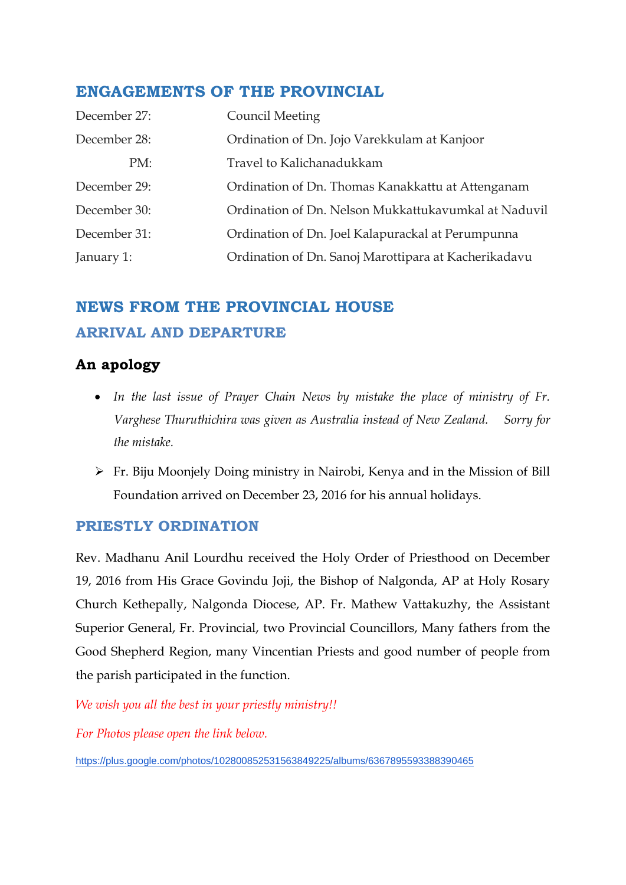#### **ENGAGEMENTS OF THE PROVINCIAL**

| December 27: | <b>Council Meeting</b>                               |  |
|--------------|------------------------------------------------------|--|
| December 28: | Ordination of Dn. Jojo Varekkulam at Kanjoor         |  |
| PM:          | Travel to Kalichanadukkam                            |  |
| December 29: | Ordination of Dn. Thomas Kanakkattu at Attenganam    |  |
| December 30: | Ordination of Dn. Nelson Mukkattukavumkal at Naduvil |  |
| December 31: | Ordination of Dn. Joel Kalapurackal at Perumpunna    |  |
| January 1:   | Ordination of Dn. Sanoj Marottipara at Kacherikadavu |  |

## **NEWS FROM THE PROVINCIAL HOUSE ARRIVAL AND DEPARTURE**

#### **An apology**

- *In the last issue of Prayer Chain News by mistake the place of ministry of Fr. Varghese Thuruthichira was given as Australia instead of New Zealand. Sorry for the mistake.*
- Fr. Biju Moonjely Doing ministry in Nairobi, Kenya and in the Mission of Bill Foundation arrived on December 23, 2016 for his annual holidays.

#### **PRIESTLY ORDINATION**

Rev. Madhanu Anil Lourdhu received the Holy Order of Priesthood on December 19, 2016 from His Grace Govindu Joji, the Bishop of Nalgonda, AP at Holy Rosary Church Kethepally, Nalgonda Diocese, AP. Fr. Mathew Vattakuzhy, the Assistant Superior General, Fr. Provincial, two Provincial Councillors, Many fathers from the Good Shepherd Region, many Vincentian Priests and good number of people from the parish participated in the function.

*We wish you all the best in your priestly ministry!!*

*For Photos please open the link below.*

<https://plus.google.com/photos/102800852531563849225/albums/6367895593388390465>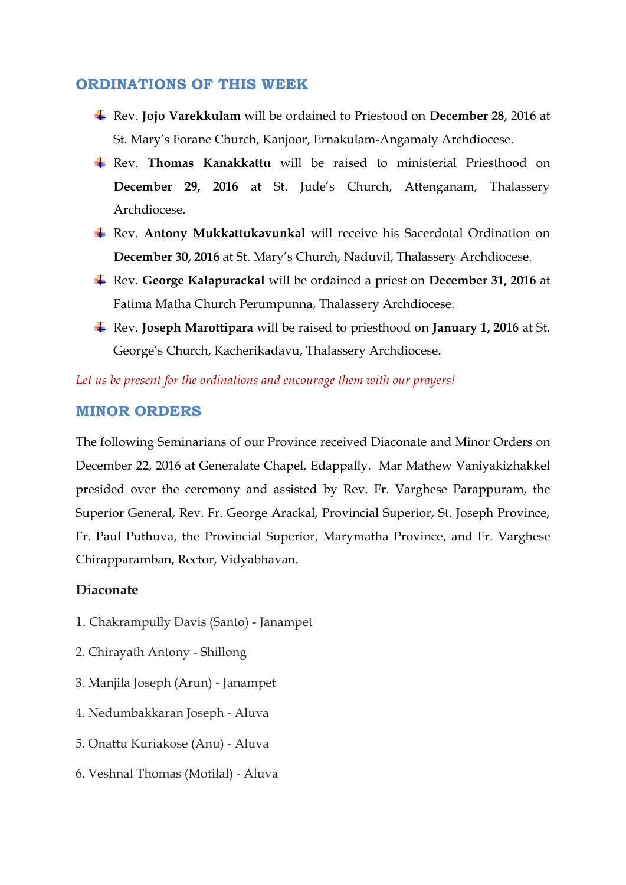#### **ORDINATIONS OF THIS WEEK**

- Rev. **Jojo Varekkulam** will be ordained to Priestood on **December 28**, 2016 at St. Mary's Forane Church, Kanjoor, Ernakulam-Angamaly Archdiocese.
- Rev. **Thomas Kanakkattu** will be raised to ministerial Priesthood on **December 29, 2016** at St. Jude's Church, Attenganam, Thalassery Archdiocese.
- Rev. **Antony Mukkattukavunkal** will receive his Sacerdotal Ordination on **December 30, 2016** at St. Mary's Church, Naduvil, Thalassery Archdiocese.
- Rev. **George Kalapurackal** will be ordained a priest on **December 31, 2016** at Fatima Matha Church Perumpunna, Thalassery Archdiocese.
- Rev. **Joseph Marottipara** will be raised to priesthood on **January 1, 2016** at St. George's Church, Kacherikadavu, Thalassery Archdiocese.

*Let us be present for the ordinations and encourage them with our prayers!*

#### **MINOR ORDERS**

The following Seminarians of our Province received Diaconate and Minor Orders on December 22, 2016 at Generalate Chapel, Edappally. Mar Mathew Vaniyakizhakkel presided over the ceremony and assisted by Rev. Fr. Varghese Parappuram, the Superior General, Rev. Fr. George Arackal, Provincial Superior, St. Joseph Province, Fr. Paul Puthuva, the Provincial Superior, Marymatha Province, and Fr. Varghese Chirapparamban, Rector, Vidyabhavan.

#### **Diaconate**

- 1. Chakrampully Davis (Santo) Janampet
- 2. Chirayath Antony Shillong
- 3. Manjila Joseph (Arun) Janampet
- 4. Nedumbakkaran Joseph Aluva
- 5. Onattu Kuriakose (Anu) Aluva
- 6. Veshnal Thomas (Motilal) Aluva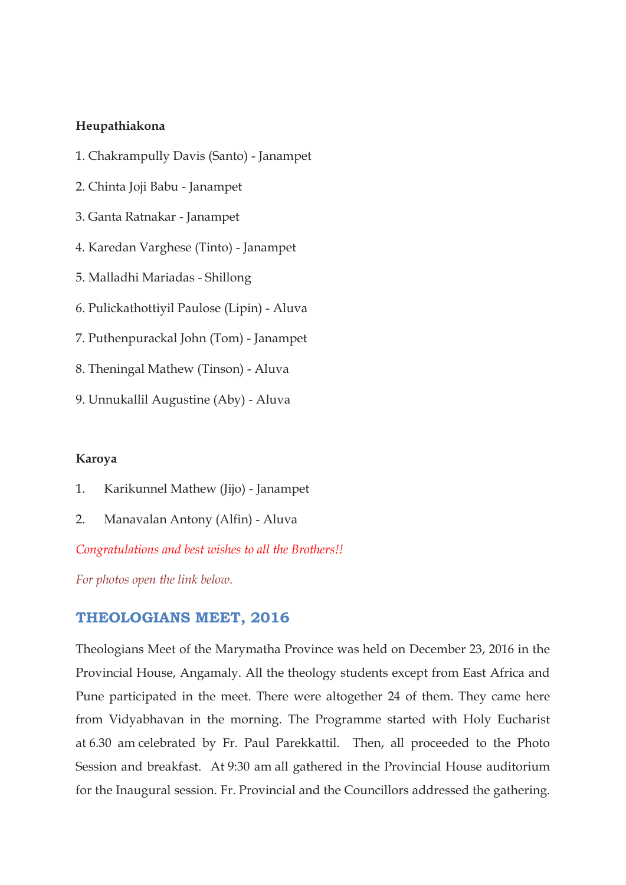#### **Heupathiakona**

- 1. Chakrampully Davis (Santo) Janampet
- 2. Chinta Joji Babu Janampet
- 3. Ganta Ratnakar Janampet
- 4. Karedan Varghese (Tinto) Janampet
- 5. Malladhi Mariadas Shillong
- 6. Pulickathottiyil Paulose (Lipin) Aluva
- 7. Puthenpurackal John (Tom) Janampet
- 8. Theningal Mathew (Tinson) Aluva
- 9. Unnukallil Augustine (Aby) Aluva

#### **Karoya**

- 1. Karikunnel Mathew (Jijo) Janampet
- 2. Manavalan Antony (Alfin) Aluva

*Congratulations and best wishes to all the Brothers!!*

*For photos open the link below.*

#### **THEOLOGIANS MEET, 2016**

Theologians Meet of the Marymatha Province was held on December 23, 2016 in the Provincial House, Angamaly. All the theology students except from East Africa and Pune participated in the meet. There were altogether 24 of them. They came here from Vidyabhavan in the morning. The Programme started with Holy Eucharist at 6.30 am celebrated by Fr. Paul Parekkattil. Then, all proceeded to the Photo Session and breakfast. At 9:30 am all gathered in the Provincial House auditorium for the Inaugural session. Fr. Provincial and the Councillors addressed the gathering.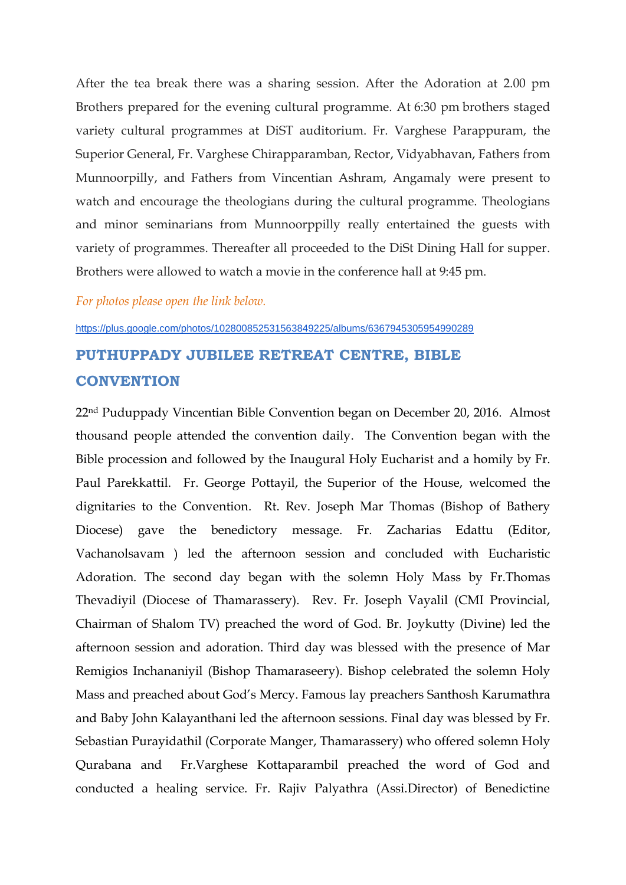After the tea break there was a sharing session. After the Adoration at 2.00 pm Brothers prepared for the evening cultural programme. At 6:30 pm brothers staged variety cultural programmes at DiST auditorium. Fr. Varghese Parappuram, the Superior General, Fr. Varghese Chirapparamban, Rector, Vidyabhavan, Fathers from Munnoorpilly, and Fathers from Vincentian Ashram, Angamaly were present to watch and encourage the theologians during the cultural programme. Theologians and minor seminarians from Munnoorppilly really entertained the guests with variety of programmes. Thereafter all proceeded to the DiSt Dining Hall for supper. Brothers were allowed to watch a movie in the conference hall at 9:45 pm.

#### *For photos please open the link below.*

<https://plus.google.com/photos/102800852531563849225/albums/6367945305954990289>

### **PUTHUPPADY JUBILEE RETREAT CENTRE, BIBLE CONVENTION**

22nd Puduppady Vincentian Bible Convention began on December 20, 2016. Almost thousand people attended the convention daily. The Convention began with the Bible procession and followed by the Inaugural Holy Eucharist and a homily by Fr. Paul Parekkattil. Fr. George Pottayil, the Superior of the House, welcomed the dignitaries to the Convention. Rt. Rev. Joseph Mar Thomas (Bishop of Bathery Diocese) gave the benedictory message. Fr. Zacharias Edattu (Editor, Vachanolsavam ) led the afternoon session and concluded with Eucharistic Adoration. The second day began with the solemn Holy Mass by Fr.Thomas Thevadiyil (Diocese of Thamarassery). Rev. Fr. Joseph Vayalil (CMI Provincial, Chairman of Shalom TV) preached the word of God. Br. Joykutty (Divine) led the afternoon session and adoration. Third day was blessed with the presence of Mar Remigios Inchananiyil (Bishop Thamaraseery). Bishop celebrated the solemn Holy Mass and preached about God's Mercy. Famous lay preachers Santhosh Karumathra and Baby John Kalayanthani led the afternoon sessions. Final day was blessed by Fr. Sebastian Purayidathil (Corporate Manger, Thamarassery) who offered solemn Holy Qurabana and Fr.Varghese Kottaparambil preached the word of God and conducted a healing service. Fr. Rajiv Palyathra (Assi.Director) of Benedictine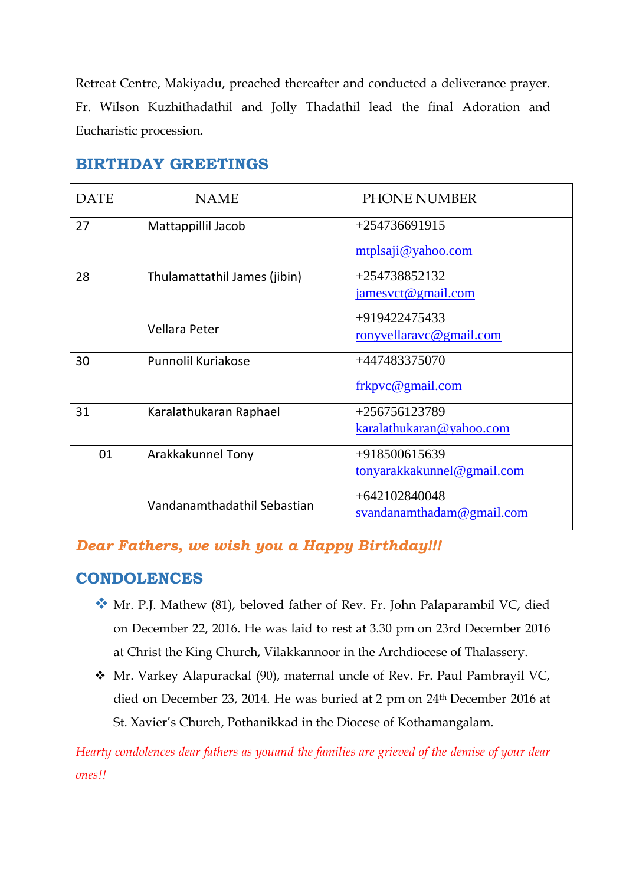Retreat Centre, Makiyadu, preached thereafter and conducted a deliverance prayer. Fr. Wilson Kuzhithadathil and Jolly Thadathil lead the final Adoration and Eucharistic procession.

| <b>DATE</b> | <b>NAME</b>                  | <b>PHONE NUMBER</b>        |
|-------------|------------------------------|----------------------------|
| 27          | Mattappillil Jacob           | $+254736691915$            |
|             |                              | mtplsaji@yahoo.com         |
| 28          | Thulamattathil James (jibin) | $+254738852132$            |
|             |                              | jamesvct@gmail.com         |
|             |                              | +919422475433              |
|             | Vellara Peter                | ronyvellaravc@gmail.com    |
| 30          | <b>Punnolil Kuriakose</b>    | +447483375070              |
|             |                              | frkpvc@gmail.com           |
| 31          | Karalathukaran Raphael       | +256756123789              |
|             |                              | karalathukaran@yahoo.com   |
| 01          | Arakkakunnel Tony            | +918500615639              |
|             |                              | tonyarakkakunnel@gmail.com |
|             |                              | +642102840048              |
|             | Vandanamthadathil Sebastian  | svandanamthadam@gmail.com  |
|             |                              |                            |

#### **BIRTHDAY GREETINGS**

#### *Dear Fathers, we wish you a Happy Birthday!!!*

### **CONDOLENCES**

- Mr. P.J. Mathew (81), beloved father of Rev. Fr. John Palaparambil VC, died on December 22, 2016. He was laid to rest at 3.30 pm on 23rd December 2016 at Christ the King Church, Vilakkannoor in the Archdiocese of Thalassery.
- Mr. Varkey Alapurackal (90), maternal uncle of Rev. Fr. Paul Pambrayil VC, died on December 23, 2014. He was buried at 2 pm on 24<sup>th</sup> December 2016 at St. Xavier's Church, Pothanikkad in the Diocese of Kothamangalam.

*Hearty condolences dear fathers as youand the families are grieved of the demise of your dear ones!!*